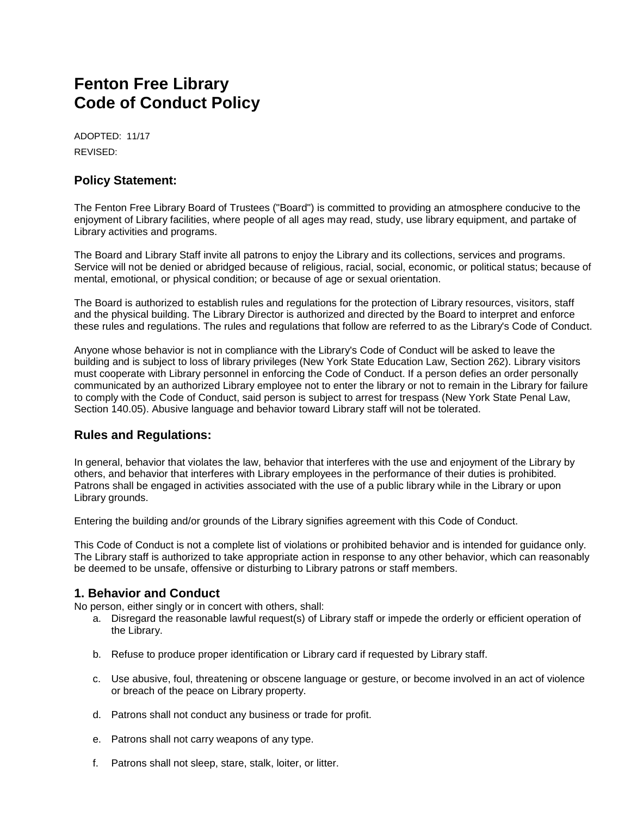# **Fenton Free Library Code of Conduct Policy**

ADOPTED: 11/17 REVISED:

## **Policy Statement:**

The Fenton Free Library Board of Trustees ("Board") is committed to providing an atmosphere conducive to the enjoyment of Library facilities, where people of all ages may read, study, use library equipment, and partake of Library activities and programs.

The Board and Library Staff invite all patrons to enjoy the Library and its collections, services and programs. Service will not be denied or abridged because of religious, racial, social, economic, or political status; because of mental, emotional, or physical condition; or because of age or sexual orientation.

The Board is authorized to establish rules and regulations for the protection of Library resources, visitors, staff and the physical building. The Library Director is authorized and directed by the Board to interpret and enforce these rules and regulations. The rules and regulations that follow are referred to as the Library's Code of Conduct.

Anyone whose behavior is not in compliance with the Library's Code of Conduct will be asked to leave the building and is subject to loss of library privileges (New York State Education Law, Section 262). Library visitors must cooperate with Library personnel in enforcing the Code of Conduct. If a person defies an order personally communicated by an authorized Library employee not to enter the library or not to remain in the Library for failure to comply with the Code of Conduct, said person is subject to arrest for trespass (New York State Penal Law, Section 140.05). Abusive language and behavior toward Library staff will not be tolerated.

### **Rules and Regulations:**

In general, behavior that violates the law, behavior that interferes with the use and enjoyment of the Library by others, and behavior that interferes with Library employees in the performance of their duties is prohibited. Patrons shall be engaged in activities associated with the use of a public library while in the Library or upon Library grounds.

Entering the building and/or grounds of the Library signifies agreement with this Code of Conduct.

This Code of Conduct is not a complete list of violations or prohibited behavior and is intended for guidance only. The Library staff is authorized to take appropriate action in response to any other behavior, which can reasonably be deemed to be unsafe, offensive or disturbing to Library patrons or staff members.

#### **1. Behavior and Conduct**

No person, either singly or in concert with others, shall:

- a. Disregard the reasonable lawful request(s) of Library staff or impede the orderly or efficient operation of the Library.
- b. Refuse to produce proper identification or Library card if requested by Library staff.
- c. Use abusive, foul, threatening or obscene language or gesture, or become involved in an act of violence or breach of the peace on Library property.
- d. Patrons shall not conduct any business or trade for profit.
- e. Patrons shall not carry weapons of any type.
- f. Patrons shall not sleep, stare, stalk, loiter, or litter.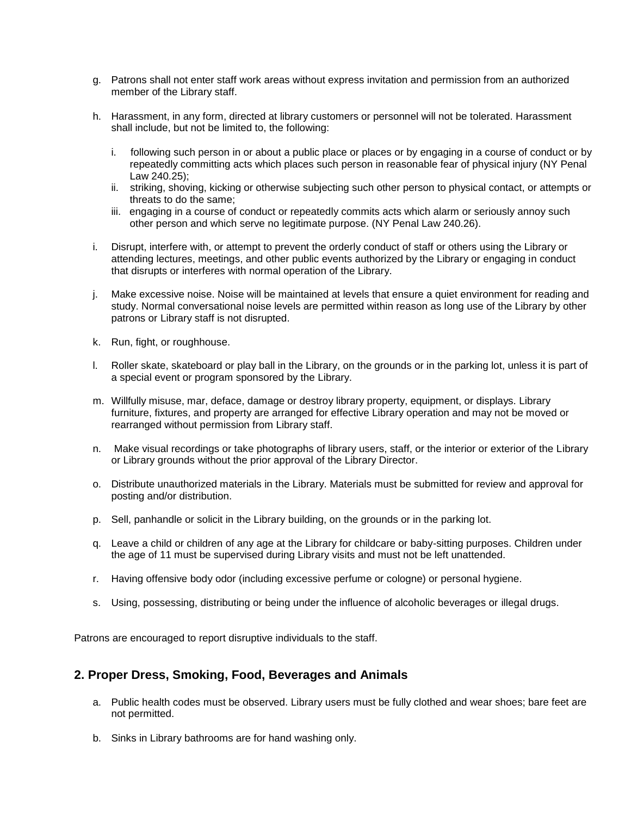- g. Patrons shall not enter staff work areas without express invitation and permission from an authorized member of the Library staff.
- h. Harassment, in any form, directed at library customers or personnel will not be tolerated. Harassment shall include, but not be limited to, the following:
	- i. following such person in or about a public place or places or by engaging in a course of conduct or by repeatedly committing acts which places such person in reasonable fear of physical injury (NY Penal Law 240.25);
	- ii. striking, shoving, kicking or otherwise subjecting such other person to physical contact, or attempts or threats to do the same;
	- iii. engaging in a course of conduct or repeatedly commits acts which alarm or seriously annoy such other person and which serve no legitimate purpose. (NY Penal Law 240.26).
- i. Disrupt, interfere with, or attempt to prevent the orderly conduct of staff or others using the Library or attending lectures, meetings, and other public events authorized by the Library or engaging in conduct that disrupts or interferes with normal operation of the Library.
- j. Make excessive noise. Noise will be maintained at levels that ensure a quiet environment for reading and study. Normal conversational noise levels are permitted within reason as long use of the Library by other patrons or Library staff is not disrupted.
- k. Run, fight, or roughhouse.
- l. Roller skate, skateboard or play ball in the Library, on the grounds or in the parking lot, unless it is part of a special event or program sponsored by the Library.
- m. Willfully misuse, mar, deface, damage or destroy library property, equipment, or displays. Library furniture, fixtures, and property are arranged for effective Library operation and may not be moved or rearranged without permission from Library staff.
- n. Make visual recordings or take photographs of library users, staff, or the interior or exterior of the Library or Library grounds without the prior approval of the Library Director.
- o. Distribute unauthorized materials in the Library. Materials must be submitted for review and approval for posting and/or distribution.
- p. Sell, panhandle or solicit in the Library building, on the grounds or in the parking lot.
- q. Leave a child or children of any age at the Library for childcare or baby-sitting purposes. Children under the age of 11 must be supervised during Library visits and must not be left unattended.
- r. Having offensive body odor (including excessive perfume or cologne) or personal hygiene.
- s. Using, possessing, distributing or being under the influence of alcoholic beverages or illegal drugs.

Patrons are encouraged to report disruptive individuals to the staff.

### **2. Proper Dress, Smoking, Food, Beverages and Animals**

- a. Public health codes must be observed. Library users must be fully clothed and wear shoes; bare feet are not permitted.
- b. Sinks in Library bathrooms are for hand washing only.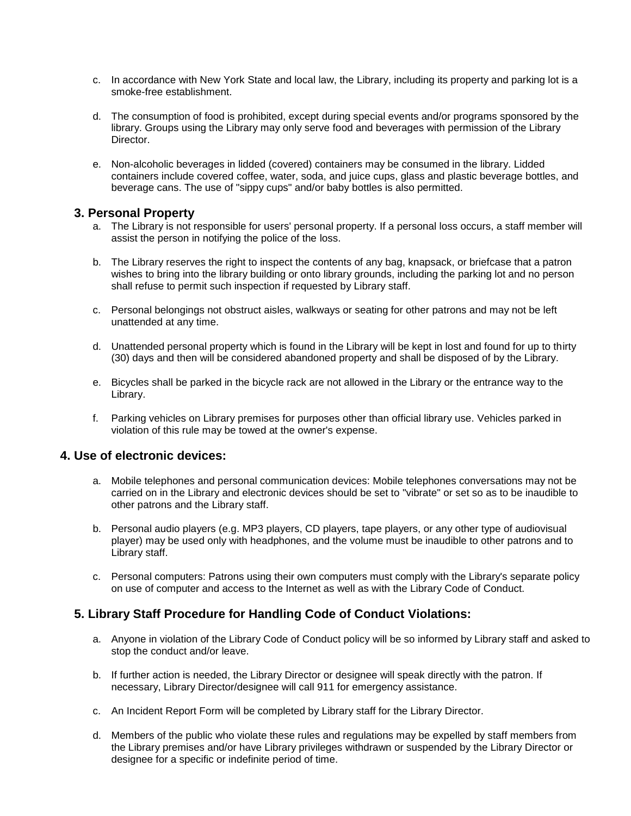- c. In accordance with New York State and local law, the Library, including its property and parking lot is a smoke-free establishment.
- d. The consumption of food is prohibited, except during special events and/or programs sponsored by the library. Groups using the Library may only serve food and beverages with permission of the Library Director.
- e. Non-alcoholic beverages in lidded (covered) containers may be consumed in the library. Lidded containers include covered coffee, water, soda, and juice cups, glass and plastic beverage bottles, and beverage cans. The use of "sippy cups" and/or baby bottles is also permitted.

### **3. Personal Property**

- a. The Library is not responsible for users' personal property. If a personal loss occurs, a staff member will assist the person in notifying the police of the loss.
- b. The Library reserves the right to inspect the contents of any bag, knapsack, or briefcase that a patron wishes to bring into the library building or onto library grounds, including the parking lot and no person shall refuse to permit such inspection if requested by Library staff.
- c. Personal belongings not obstruct aisles, walkways or seating for other patrons and may not be left unattended at any time.
- d. Unattended personal property which is found in the Library will be kept in lost and found for up to thirty (30) days and then will be considered abandoned property and shall be disposed of by the Library.
- e. Bicycles shall be parked in the bicycle rack are not allowed in the Library or the entrance way to the Library.
- f. Parking vehicles on Library premises for purposes other than official library use. Vehicles parked in violation of this rule may be towed at the owner's expense.

### **4. Use of electronic devices:**

- a. Mobile telephones and personal communication devices: Mobile telephones conversations may not be carried on in the Library and electronic devices should be set to "vibrate" or set so as to be inaudible to other patrons and the Library staff.
- b. Personal audio players (e.g. MP3 players, CD players, tape players, or any other type of audiovisual player) may be used only with headphones, and the volume must be inaudible to other patrons and to Library staff.
- c. Personal computers: Patrons using their own computers must comply with the Library's separate policy on use of computer and access to the Internet as well as with the Library Code of Conduct.

## **5. Library Staff Procedure for Handling Code of Conduct Violations:**

- a. Anyone in violation of the Library Code of Conduct policy will be so informed by Library staff and asked to stop the conduct and/or leave.
- b. If further action is needed, the Library Director or designee will speak directly with the patron. If necessary, Library Director/designee will call 911 for emergency assistance.
- c. An Incident Report Form will be completed by Library staff for the Library Director.
- d. Members of the public who violate these rules and regulations may be expelled by staff members from the Library premises and/or have Library privileges withdrawn or suspended by the Library Director or designee for a specific or indefinite period of time.